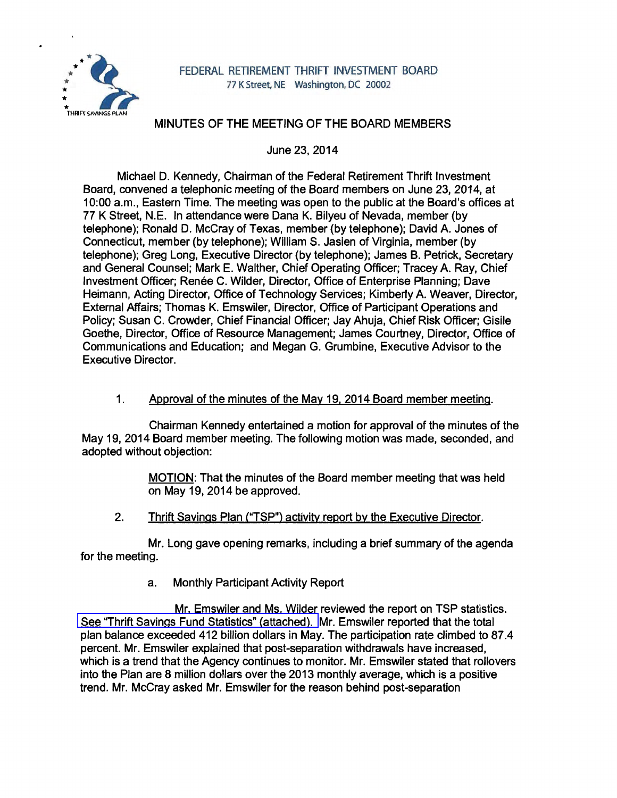

# MINUTES OF THE MEETING OF THE BOARD MEMBERS

June 23, 2014

Michael D. Kennedy, Chairman of the Federal Retirement Thrift Investment Board, convened a telephonic meeting of the Board members on June 23, 2014, at 10:00 a.m., Eastern Time. The meeting was open to the public at the Board's offices at 77 K Street, N.E. In attendance were Dana K. Bilyeu of Nevada, member (by telephone); Ronald D. McCray of Texas, member (by telephone); David A. Jones of Connecticut, member (by telephone); William S. Jasien of Virginia, member (by telephone); Greg Long, Executive Director (by telephone); James B. Petrick, Secretary and General Counsel; Mark E. Walther, Chief Operating Officer; Tracey A. Ray, Chief Investment Officer; Renée C. Wilder, Director, Office of Enterprise Planning; Dave Heimann, Acting Director, Office of Technology Services; Kimberly A. Weaver, Director, External Affairs; Thomas K. Emswiler, Director, Office of Participant Operations and Policy; Susan C. Crowder, Chief Financial Officer; Jay Ahuja, Chief Risk Officer; Gisile Goethe, Director, Office of Resource Management; James Courtney, Director, Office of Communications and Education; and Megan G. Grumbine, Executive Advisor to the Executive Director.

## 1. Approval of the minutes of the May 19. 2014 Board member meeting.

Chairman Kennedy entertained a motion for approval of the minutes of the May 19, 2014 Board member meeting. The following motion was made, seconded, and adopted without objection:

> MOTION: That the minutes of the Board member meeting that was held on May 19, 2014 be approved.

2. Thrift Savings Plan ("TSP") activity report by the Executive Director.

Mr. Long gave opening remarks, including a brief summary of the agenda for the meeting.

a. Monthly Participant Activity Report

Mr. Emswiler and Ms. Wilder reviewed the report on TSP statistics. [See "Thrift Savings Fund Statistics" \(attached\).](http://www.frtib.gov/pdf/minutes/MM-2014Jun-Att1.pdf) Mr. Emswiler reported that the total plan balance exceeded 412 billion dollars in May. The participation rate climbed to 87.4 percent. Mr. Emswiler explained that post-separation withdrawals have increased, which is a trend that the Agency continues to monitor. Mr. Emswiler stated that rollovers into the Plan are 8 million dollars over the 2013 monthly average, which is a positive trend. Mr. McCray asked Mr. Emswiler for the reason behind post-separation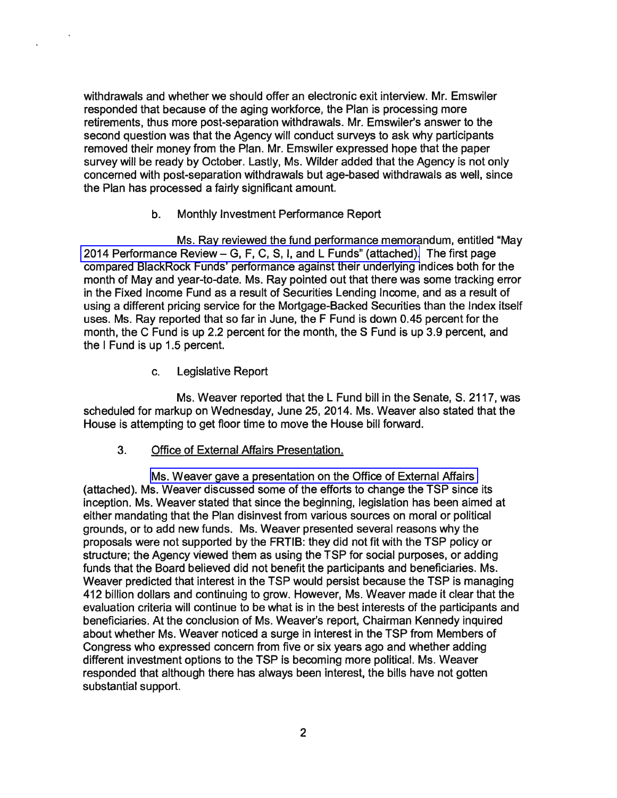withdrawals and whether we should offer an electronic exit interview. Mr. Emswiler responded that because of the aging workforce, the Plan is processing more retirements, thus more post-separation withdrawals. Mr. Emswiler's answer to the second question was that the Agency will conduct surveys to ask why participants removed their money from the Plan. Mr. Emswiler expressed hope that the paper survey will be ready by October. Lastly, Ms. Wilder added that the Agency is not only concerned with post-separation withdrawals but age-based withdrawals as well, since the Plan has processed a fairly significant amount.

#### b. Monthly Investment Performance Report

Ms. Ray reviewed the fund performance memorandum, entitled "May 2014 Performance Review- [G, F, C, S, I, and L Funds" \(attached\).](http://www.frtib.gov/pdf/minutes/MM-2014Jun-Att2.pdf) The first page compared BlackRock Funds' performance against their underlying indices both for the month of May and year-to-date. Ms. Ray pointed out that there was some tracking error in the Fixed Income Fund as a result of Securities Lending Income, and as a result of using a different pricing service for the Mortgage-Backed Securities than the Index itself uses. Ms. Ray reported that so far in June, the F Fund is down 0.45 percent for the month, the C Fund is up 2.2 percent for the month, the S Fund is up 3.9 percent, and the I Fund is up 1.5 percent.

c. Legislative Report

Ms. Weaver reported that the L Fund bill in the Senate, S. 2117, was scheduled for markup on Wednesday, June 25, 2014. Ms. Weaver also stated that the House is attempting to get floor time to move the House bill forward.

3. Office of External Affairs Presentation.

[Ms. Weaver gave a presentation on the Office of External Affairs](http://www.frtib.gov/pdf/minutes/MM-2014Jun-Att3.pdf)  (attached). Ms. Weaver discussed some of the efforts to change the TSP since its inception. Ms. Weaver stated that since the beginning, legislation has been aimed at either mandating that the Plan disinvest from various sources on moral or political grounds, or to add new funds. Ms. Weaver presented several reasons why the proposals were not supported by the FRTIB: they did not fit with the TSP policy or structure; the Agency viewed them as using the TSP for social purposes, or adding funds that the Board believed did not benefit the participants and beneficiaries. Ms. Weaver predicted that interest in the TSP would persist because the TSP is managing 412 billion dollars and continuing to grow. However, Ms. Weaver made it clear that the evaluation criteria will continue to be what is in the best interests of the participants and beneficiaries. At the conclusion of Ms. Weaver's report, Chairman Kennedy inquired about whether Ms. Weaver noticed a surge in interest in the TSP from Members of Congress who expressed concern from five or six years ago and whether adding different investment options to the TSP is becoming more political. Ms. Weaver responded that although there has always been interest, the bills have not gotten substantial support.